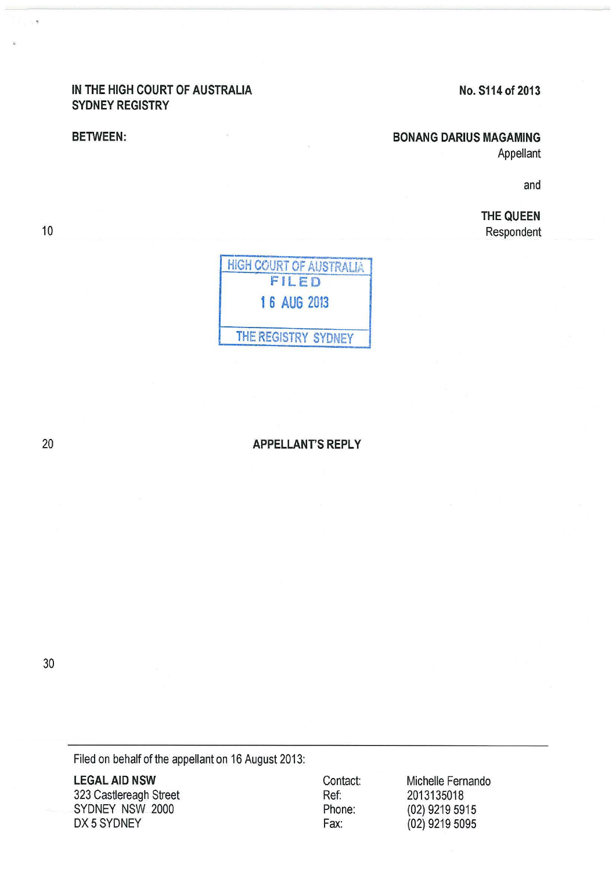## IN THE HIGH COURT OF AUSTRALIA SYDNEY REGISTRY

#### BETWEEN:

# No. S114 of 2013

### BONANG DARIUS MAGAMING

Appellant

and

THE QUEEN Respondent



20

10

# APPELLANT'S REPLY

30

Filed on behalf of the appellant on 16 August 2013:

LEGAL AID NSW 323 Castiereagh Street SYDNEY NSW 2000 DX 5 SYDNEY

Contact: Ref: Phone: Fax:

Michelle Fernando 2013135018 (02) 9219 5915 (02) 9219 5095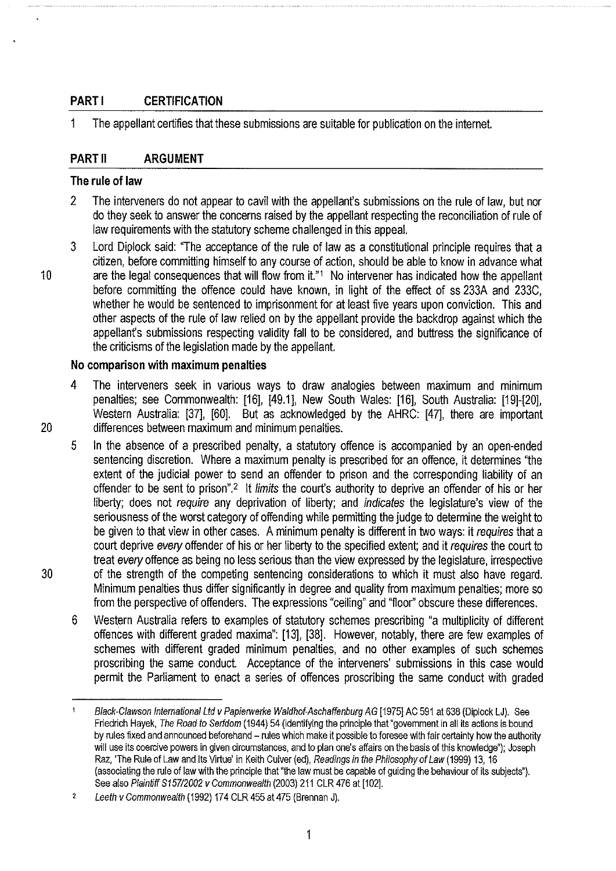# **PART I CERTIFICATION**

1 The appellant certifies that these submissions are suitable for publication on the internet.

## **PART II ARGUMENT**

#### **The rule of law**

- 2 The interveners do not appear to cavil with the appellant's submissions on the rule of law, but nor do they seek to answer the concerns raised by the appellant respecting the reconciliation of rule of law requirements with the statutory scheme challenged in this appeal.
- 3 Lord Diplock said: "The acceptance of the rule of law as a constitutional principle requires that a citizen, before committing himself to any course of action, should be able to know in advance what 10 are the legal consequences that will flow from it."<sup>1</sup> No intervener has indicated how the appellant before committing the offence could have known, in light of the effect of ss 233A and 233C, whether he would be sentenced to imprisonment for at least five years upon conviction. This and other aspects of the rule of law relied on by the appellant provide the backdrop against which the appellant's submissions respecting validity fall to be considered, and buttress the significance of the criticisms of the legislation made by the appellant.

#### **No comparison with maximum penalties**

- 4 The interveners seek in various ways to draw analogies between maximum and minimum penalties; see Commonwealth: [16], [49.1], New South Wales: [16], South Australia: [19]-[20], Western Australia: [37], [60]. But as acknowledged by the AHRC: [47], there are important 20 differences between maximum and minimum penalties.
- 5 In the absence of a prescribed penalty, a statutory offence is accompanied by an open-ended sentencing discretion. Where a maximum penalty is prescribed for an offence, it determines "the extent of the judicial power to send an offender to prison and the corresponding liability of an offender to be sent to prison".<sup>2</sup> It limits the court's authority to deprive an offender of his or her liberty; does not require any deprivation of liberty; and indicates the legislature's view of the seriousness of the worst category of offending while permitting the judge to determine the weight to be given to that view in other cases. A minimum penalty is different in two ways: it requires that a court deprive every offender of his or her liberty to the specified extent; and it requires the court to treat every offence as being no less serious than the view expressed by the legislature, irrespective 30 of the strength of the competing sentencing considerations to which it must also have regard. Minimum penalties thus differ significantly in degree and quality from maximum penalties; more so from the perspective of offenders. The expressions "ceiling" and "floor'' obscure these differences.
	- 6 Western Australia refers to examples of statutory schemes prescribing "a multiplicity of different offences with different graded maxima": [13], [38]. However, notably, there are few examples of schemes with different graded minimum penalties, and no other examples of such schemes proscribing the same conduct. Acceptance of the interveners' submissions in this case would permit the Parliament to enact a series of offences proscribing the same conduct with graded

Black-Clawson International Ltd v Papierwenke Waldhof-Aschaffenburg AG [1975] AC 591 at 638 (Diplock LJ). See Friedrich Hayek, The Road to Serfdom (1944) 54 (identifying the principle that "government in all its actions is bound by rules fixed and announced beforehand - rules which make it possible to foresee with fair certainty how the authority will use its coercive powers in given circumstances, and to plan one's affairs on the basis of this knowledge"); Joseph Raz, 'The Rule of Law and Its Virtue' in Keith Culver (ed), Readings in the Philosophy of Law (1999) 13, 16 (associating the rule of law with the principle that "the law must be capable of guiding the behaviour of its subjects"). See also Plaintiff S157/2002 v Commonwealth (2003) 211 CLR 476 at [102].

 $\overline{2}$ Leeth v Commonwealth (1992) 174 CLR 455 at 475 (Brennan J).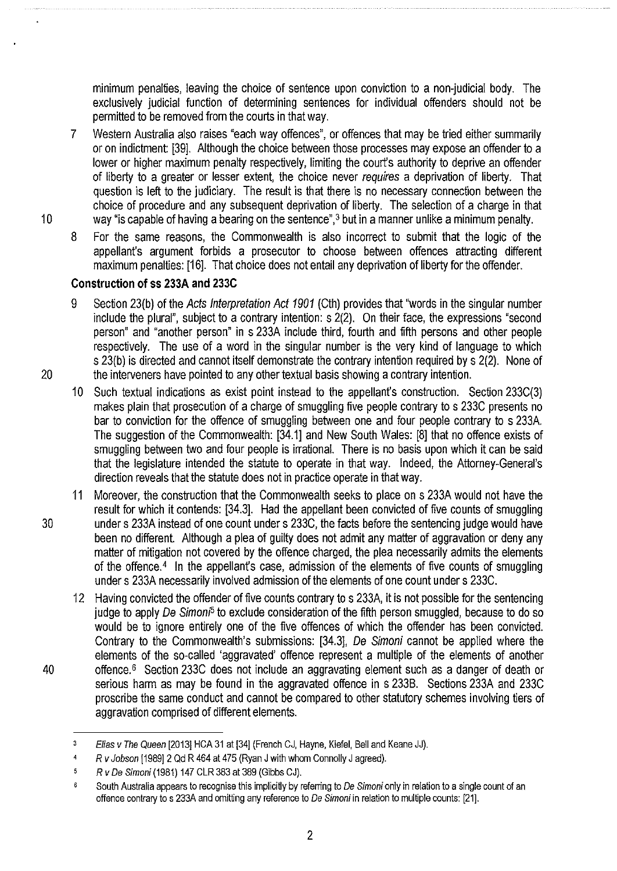minimum penalties, leaving the choice of sentence upon conviction to a non-judicial body. The exclusively judicial function of determining sentences for individual offenders should not be permitted to be removed from the courts in that way.

- 7 Western Australia also raises "each way offences", or offences that may be tried either summarily or on indictment: [39]. Although the choice between those processes may expose an offender to a lower or higher maximum penalty respectively, limiting the court's authority to deprive an offender of liberty to a greater or lesser extent, the choice never requires a deprivation of liberty. That question is left to the judiciary. The result is that there is no necessary connection between the choice of procedure and any subsequent deprivation of liberty. The selection of a charge in that 10 way "is capable of having a bearing on the sentence",3 but in a manner unlike a minimum penalty.
	- 8 For the same reasons, the Commonwealth is also incorrect to submit that the logic of the appellant's argument forbids a prosecutor to choose between offences attracting different maximum penalties: [16]. That choice does not entail any deprivation of liberty for the offender.

# **Construction of ss 233A and 233C**

- 9 Section 23(b) of the Acts Interpretation Act 1901 (Cth) provides that "words in the singular number include the plural", subject to a contrary intention: s 2(2). On their face, the expressions "second person" and "another person" in s 233A include third, fourth and fifth persons and other people respectively. The use of a word in the singular number is the very kind of language to which s 23(b) is directed and cannot itself demonstrate the contrary intention required by s 2(2). None of 20 the interveners have pointed to any other textual basis showing a contrary intention.
	- 10 Such textual indications as exist point instead to the appellanfs construction. Section 233C(3) makes plain that prosecution of a charge of smuggling five people contrary to s 233C presents no bar to conviction for the offence of smuggling between one and four people contrary to s 233A. The suggestion of the Commonwealth: [34.1] and New South Wales: [8] that no offence exists of smuggling between two and four people is irrational. There is no basis upon which it can be said that the legislature intended the statute to operate in that way. Indeed, the Attorney-General's direction reveals that the statute does not in practice operate in that way.
- 11 Moreover, the construction that the Commonwealth seeks to place on s 233A would not have the result for which it contends: [34.3]. Had the appellant been convicted of five counts of smuggling 30 under s 233A instead of one count under s 233C, the facts before the sentencing judge would have been no different. Although a plea of guilty does not admit any matter of aggravation or deny any matter of mitigation not covered by the offence charged, the plea necessarily admits the elements of the offence.<sup>4</sup> In the appellant's case, admission of the elements of five counts of smuggling under s 233A necessarily involved admission of the elements of one count under s 233C.
- 12 Having convicted the offender of five counts contrary to s 233A, it is not possible for the sentencing judge to apply De Simon<sup>5</sup> to exclude consideration of the fifth person smuggled, because to do so would be to ignore entirely one of the five offences of which the offender has been convicted. Contrary to the Commonwealth's submissions: [34.3], De Simoni cannot be applied where the elements of the so-called 'aggravated' offence represent a multiple of the elements of another 40 offence. 6 Section 233C does not include an aggravating element such as a danger of death or serious harm as may be found in the aggravated offence in s 2338. Sections 233A and 233C proscribe the same conduct and cannot be compared to other statutory schemes involving tiers of aggravation comprised of different elements.

<sup>&</sup>lt;sup>3</sup> Elias v The Queen [2013] HCA 31 at [34] (French CJ, Hayne, Kiefel, Bell and Keane JJ).

<sup>&#</sup>x27; R *v* Jobson [1989] 2 Qd R 464 at 475 (Ryan J with whom Connolly J agreed).

 $\overline{\mathbf{5}}$ R *v* De Simoni (1981) 147 CLR 383 at 389 (Gibbs CJ).

 $\ddot{\bf{6}}$ South Australia appears to recognise this implicitly by referring to De Simoni only in relation to a single count of an offence contrary to s 233A and omitting any reference to De Simoni in relation to multiple counts: [21].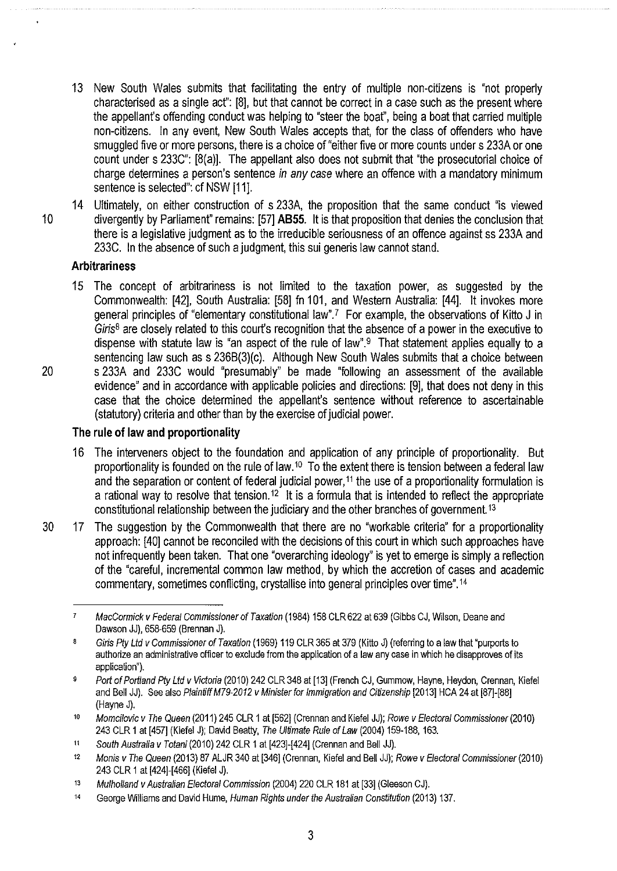- 13 New South Wales submits that facilitating the entry of multiple non-citizens is "not properly characterised as a single acf': [8], but that cannot be correct in a case such as the present where the appellant's offending conduct was helping to "steer the boat", being a boat that carried multiple non-citizens. In any event, New South Wales accepts that, for the class of offenders who have smuggled five or more persons, there is a choice of "either five or more counts under s 233A or one count under s 233C": [8(a)]. The appellant also does not submit that "the prosecutorial choice of charge determines a person's sentence in any case where an offence with a mandatory minimum sentence is selected": cf NSW [11].
- 14 Ultimately, on either construction of s 233A, the proposition that the same conduct "is viewed 1 0 divergently by Parliamenf' remains: [57] **ABSS.** It is that proposition that denies the conclusion that there is a legislative judgment as to the irreducible seriousness of an offence against ss 233A and 233C. In the absence of such a judgment, this sui generis law cannot stand.

## **Arbitrariness**

15 The concept of arbitrariness is not limited to the taxation power, as suggested by the Commonwealth: [42], South Australia: [58] fn 101, and Western Australia: [44]. It invokes more general principles of "elementary constitutional law".? For example, the observations of Kitto J in  $Giris<sup>8</sup>$  are closely related to this court's recognition that the absence of a power in the executive to dispense with statute law is "an aspect of the rule of law".<sup>9</sup> That statement applies equally to a sentencing law such as s 236B(3)(c). Although New South Wales submits that a choice between 20 s 233A and 233C would "presumably" be made "following an assessment of the available evidence" and in accordance with applicable policies and directions: [9], that does not deny in this case that the choice determined the appellanfs sentence without reference to ascertainable (statutory) criteria and other than by the exercise of judicial power.

## **The rule of law and proportionality**

- 16 The interveners object to the foundation and application of any principle of proportionality. But proportionality is founded on the rule of law.<sup>10</sup> To the extent there is tension between a federal law and the separation or content of federal judicial power,<sup>11</sup> the use of a proportionality formulation is a rational way to resolve that tension.<sup>12</sup> It is a formula that is intended to reflect the appropriate constitutional relationship between the judiciary and the other branches of government.13
- 30 17 The suggestion by the Commonwealth that there are no "workable criteria" for a proportionality approach: [40] cannot be reconciled with the decisions of this court in which such approaches have not infrequently been taken. That one "overarching ideology" is yet to emerge is simply a reflection of the "careful, incremental common law method, by which the accretion of cases and academic commentary, sometimes conflicting, crystallise into general principles over time".14

 $\overline{z}$ MacCormick v Federal Commissioner of Taxation (1984) 158 CLR 622 at 639 (Gibbs CJ, Wilson, Deane and Dawson JJ), 658-659 (Brennan J).

 $\mathbf{8}$ Giris Pty Ltd v Commissioner of Taxation (1969) 119 CLR 365 at 379 (Kitto J) (referring to a law that "purports to authorize an administrative officer to exclude from the application of a law any case in which he disapproves of its application").

<sup>&</sup>lt;sup>9</sup> Port of Portland Pty Ltd v Victoria (2010) 242 CLR 348 at [13] (French CJ, Gummow, Hayne, Heydon, Crennan, Kiefel and Bell JJ). See also Plaintiff M79-2012 v Minister for Immigration and Citizenship [2013] HCA 24 at [87]-[88] (Hayne J).

<sup>10</sup> Momcilovic v The Queen (2011) 245 CLR 1 at [562] (Crennan and Kiefel JJ); Rowe v Electoral Commissioner (2010) 243 CLR 1 at [457] (Kiefel J); David Beatty, The Ultimate Rule of Law (2004) 159-188, 163.

<sup>&</sup>quot; South Australia v Totani (2010) 242 CLR 1 at [423]-[424] (Grennan and Bell JJ).

<sup>&</sup>lt;sup>12</sup> Monis v The Queen (2013) 87 ALJR 340 at [346] (Crennan, Kiefel and Bell JJ); Rowe v Electoral Commissioner (2010) 243 CLR 1 at [424]-[466] (Kiefel J).

<sup>13</sup> Mulholland v Australian Electoral Commission (2004) 220 CLR 181 at [33] (Gleeson CJ).

<sup>&</sup>lt;sup>14</sup> George Williams and David Hume, Human Rights under the Australian Constitution (2013) 137.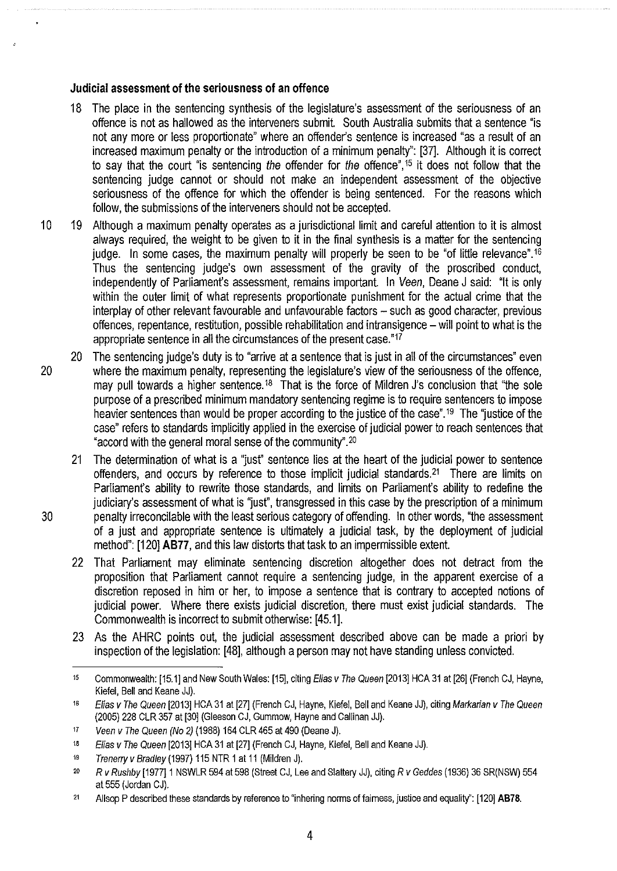#### **Judicial assessment of the seriousness of an offence**

- 18 The place in the sentencing synthesis of the legislature's assessment of the seriousness of an offence is not as hallowed as the interveners submit. South Australia submits that a sentence "is not any more or less proportionate" where an offender's sentence is increased "as a result of an increased maximum penalty or the introduction of a minimum penalty": [37]. Although it is correct to say that the court "is sentencing the offender for the offence", <sup>15</sup> it does not follow that the sentencing judge cannot or should not make an independent assessment of the objective seriousness of the offence for which the offender is being sentenced. For the reasons which follow, the submissions of the interveners should not be accepted.
- 10 19 Although a maximum penalty operates as a jurisdictional limit and careful attention to it is almost always required, the weight to be given to it in the final synthesis is a matter for the sentencing judge. In some cases, the maximum penalty will properly be seen to be "of little relevance".<sup>16</sup> Thus the sentencing judge's own assessment of the gravity of the proscribed conduct, independently of Parliament's assessment, remains important. In Veen, Deane J said: "It is only within the outer limit of what represents proportionate punishment for the actual crime that the interplay of other relevant favourable and unfavourable factors - such as good character, previous offences, repentance, restitution, possible rehabilitation and intransigence- will point to what is the appropriate sentence in all the circumstances of the present case."17
- 20 The sentencing judge's duty is to "arrive at a sentence that is just in all of the circumstances" even 20 where the maximum penalty, representing the legislature's view of the seriousness of the offence, may pull towards a higher sentence.<sup>18</sup> That is the force of Mildren J's conclusion that "the sole purpose of a prescribed minimum mandatory sentencing regime is to require sentencers to impose heavier sentences than would be proper according to the justice of the case".<sup>19</sup> The "justice of the case" refers to standards implicitly applied in the exercise of judicial power to reach sentences that "accord with the general moral sense of the community".20
- 21 The determination of what is a "jusf' sentence lies at the heart of the judicial power to sentence offenders, and occurs by reference to those implicit judicial standards.<sup>21</sup> There are limits on Parliament's ability to rewrite those standards, and limits on Parliament's ability to redefine the judiciary's assessment of what is "just", transgressed in this case by the prescription of a minimum 30 penalty irreconcilable with the least serious category of offending. In other words, "the assessment of a just and appropriate sentence is ultimately a judicial task, by the deployment of judicial method": [120] **AB77,** and this law distorts that task to an impermissible extent.
	- 22 That Parliament may eliminate sentencing discretion altogether does not detract from the proposition that Parliament cannot require a sentencing judge, in the apparent exercise of a discretion reposed in him or her, to impose a sentence that is contrary to accepted notions of judicial power. Where there exists judicial discretion, there must exist judicial standards. The Commonwealth is incorrect to submit otherwise: [45.1].
	- 23 As the AHRC points out, the judicial assessment described above can be made a priori by inspection of the legislation: [48], although a person may not have standing unless convicted.

4

<sup>&</sup>lt;sup>15</sup> Commonwealth: [15.1] and New South Wales: [15], citing Elias v The Queen [2013] HCA 31 at [26] (French CJ, Hayne, Kiefel, Bell and Keane JJ).

<sup>&</sup>lt;sup>16</sup> Elias v The Queen [2013] HCA 31 at [27] (French CJ, Hayne, Kiefel, Bell and Keane JJ), citing Markarian v The Queen (2005) 228 CLR 357 at [30] (Gleeson CJ, Gummow, Hayne and Callinan JJ).

<sup>11</sup> Veen v The Queen (No 2) (1988) 164 CLR 465 at 490 (Deane J).

<sup>&</sup>lt;sup>18</sup> Elias v The Queen [2013] HCA 31 at [27] (French CJ, Hayne, Kiefel, Bell and Keane JJ).

<sup>&</sup>lt;sup>19</sup> Trenerry v Bradley (1997) 115 NTR 1 at 11 (Mildren J).

<sup>20</sup> R v Rushby [1977] 1 NSWLR 594 at 598 (Street CJ, Lee and Slattery JJ), citing R v Geddes (1936) 36 SR(NSW) 554 at 555 (Jordan CJ).

<sup>&</sup>lt;sup>21</sup> Allsop P described these standards by reference to "inhering norms of faimess, justice and equality": [120] **AB78.**